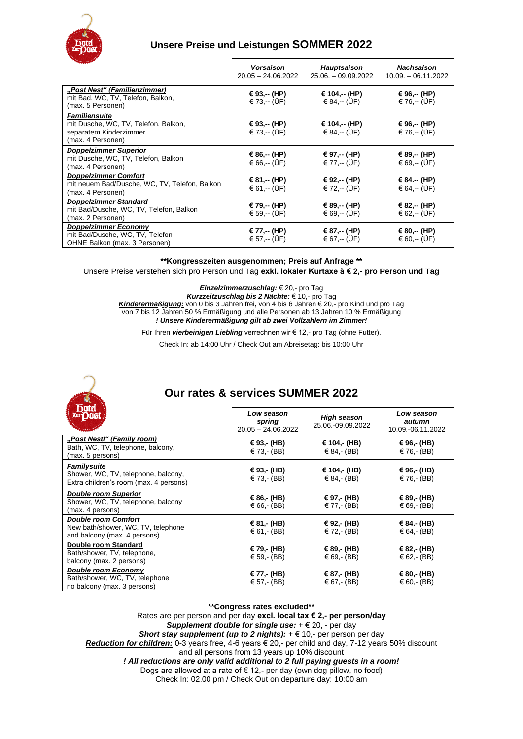

## **Unsere Preise und Leistungen SOMMER 2022**

|                                                                                                             | <b>Vorsaison</b><br>$20.05 - 24.06.2022$ | <b>Hauptsaison</b><br>$25.06. - 09.09.2022$ | <b>Nachsaison</b><br>$10.09 - 06.11.2022$ |
|-------------------------------------------------------------------------------------------------------------|------------------------------------------|---------------------------------------------|-------------------------------------------|
| "Post Nest" (Familienzimmer)<br>mit Bad, WC, TV, Telefon, Balkon,<br>(max. 5 Personen)                      | € 93,-- (HP)<br>€ 73, $-$ (UF)           | € 104,-- (HP)<br>€ 84, $-$ (UF)             | € 96,-- (HP)<br>€ 76, $-$ (UF)            |
| <b>Familiensuite</b><br>mit Dusche, WC, TV, Telefon, Balkon,<br>separatem Kinderzimmer<br>(max. 4 Personen) | € 93,-- (HP)<br>€ 73, $-$ (UF)           | € 104,-- (HP)<br>€ 84, $-$ (UF)             | € 96,-- (HP)<br>€ 76,-- (UF)              |
| <b>Doppelzimmer Superior</b><br>mit Dusche, WC, TV, Telefon, Balkon<br>(max. 4 Personen)                    | € 86,-- (HP)<br>€ 66, $-(ÜF)$            | € 97,-- (HP)<br>€ 77,-- (ÜF)                | € 89,-- (HP)<br>€ 69,-- (ÜF)              |
| <b>Doppelzimmer Comfort</b><br>mit neuem Bad/Dusche, WC, TV, Telefon, Balkon<br>(max. 4 Personen)           | € 81,-- (HP)<br>€ 61, $-$ (UF)           | € 92,-- (HP)<br>€ 72,-- (UF)                | € 84.-- (HP)<br>€ 64, $-$ (UF)            |
| Doppelzimmer Standard<br>mit Bad/Dusche, WC, TV, Telefon, Balkon<br>(max. 2 Personen)                       | € 79,-- (HP)<br>€ 59, $-(UF)$            | € 89,-- (HP)<br>€ 69,-- (UF)                | € 82,-- (HP)<br>€ 62,-- (ÜF)              |
| Doppelzimmer Economy<br>mit Bad/Dusche, WC, TV, Telefon<br>OHNE Balkon (max. 3 Personen)                    | € 77,-- (HP)<br>€ 57,-- (ÜF)             | € 87,-- (HP)<br>€ 67,-- (ÜF)                | € 80,-- (HP)<br>€ 60,-- (UF)              |

#### **\*\*Kongresszeiten ausgenommen; Preis auf Anfrage \*\***

#### Unsere Preise verstehen sich pro Person und Tag **exkl. lokaler Kurtaxe à € 2,- pro Person und Tag**

*Einzelzimmerzuschlag:* € 20,- pro Tag

*Kurzzeitzuschlag bis 2 Nächte:* € 10,- pro Tag *Kinderermäßigung:* von 0 bis 3 Jahren frei**,** von 4 bis 6 Jahren € 20,- pro Kind und pro Tag von 7 bis 12 Jahren 50 % Ermäßigung und alle Personen ab 13 Jahren 10 % Ermäßigung *! Unsere Kinderermäßigung gilt ab zwei Vollzahlern im Zimmer!*

Für Ihren *vierbeinigen Liebling* verrechnen wir € 12,- pro Tag (ohne Futter).

Check In: ab 14:00 Uhr / Check Out am Abreisetag: bis 10:00 Uhr



# **Our rates & services SUMMER 2022**

| ши                                                                                               | Low season<br>spring<br>$20.05 - 24.06.2022$ | <b>High season</b><br>25.06.-09.09.2022 | Low season<br>autumn<br>10.09.-06.11.2022 |
|--------------------------------------------------------------------------------------------------|----------------------------------------------|-----------------------------------------|-------------------------------------------|
| "Post Nestl" (Family room)<br>Bath, WC, TV, telephone, balcony,<br>(max. 5 persons)              | € 93,- (HB)<br>€ 73, $(BB)$                  | € 104,- (HB)<br>€ 84, $(BB)$            | € 96,- (HB)<br>€ 76,- (BB)                |
| Familysuite<br>Shower, WC, TV, telephone, balcony,<br>Extra children's room (max. 4 persons)     | € 93,- (HB)<br>€ 73,- (BB)                   | € 104,- (HB)<br>€ 84, $(BB)$            | € 96,- (HB)<br>€ 76,- (BB)                |
| <b>Double room Superior</b><br>Shower, WC, TV, telephone, balcony<br>(max. 4 persons)            | € 86,- (HB)<br>€ 66,- (BB)                   | € 97,- (HB)<br>€ 77,- (BB)              | € 89,- (HB)<br>€ 69,- (BB)                |
| <b>Double room Comfort</b><br>New bath/shower, WC, TV, telephone<br>and balcony (max. 4 persons) | € 81,- (HB)<br>€ 61, $(BB)$                  | € 92,- (HB)<br>€ 72,- (BB)              | € 84.- (HB)<br>€ 64, $(BB)$               |
| Double room Standard<br>Bath/shower, TV, telephone,<br>balcony (max. 2 persons)                  | € 79,- (HB)<br>€ 59,- (BB)                   | € 89,- (HB)<br>€ 69,- (BB)              | € 82,- (HB)<br>€ 62,- (BB)                |
| <b>Double room Economy</b><br>Bath/shower, WC, TV, telephone<br>no balcony (max. 3 persons)      | € 77,- (HB)<br>€ 57,- (BB)                   | € 87,- (HB)<br>€ 67,- (BB)              | € 80,- (HB)<br>€ 60,- (BB)                |

#### **\*\*Congress rates excluded\*\***

Rates are per person and per day **excl. local tax € 2,- per person/day** *Supplement double for single use:* + € 20, - per day *Short stay supplement (up to 2 nights):*  $+ \in 10$ ,- per person per day

*Reduction for children:* 0-3 years free, 4-6 years € 20,- per child and day, 7-12 years 50% discount and all persons from 13 years up 10% discount

*! All reductions are only valid additional to 2 full paying guests in a room!*

Dogs are allowed at a rate of  $\epsilon$  12,- per day (own dog pillow, no food)

Check In: 02.00 pm / Check Out on departure day: 10:00 am